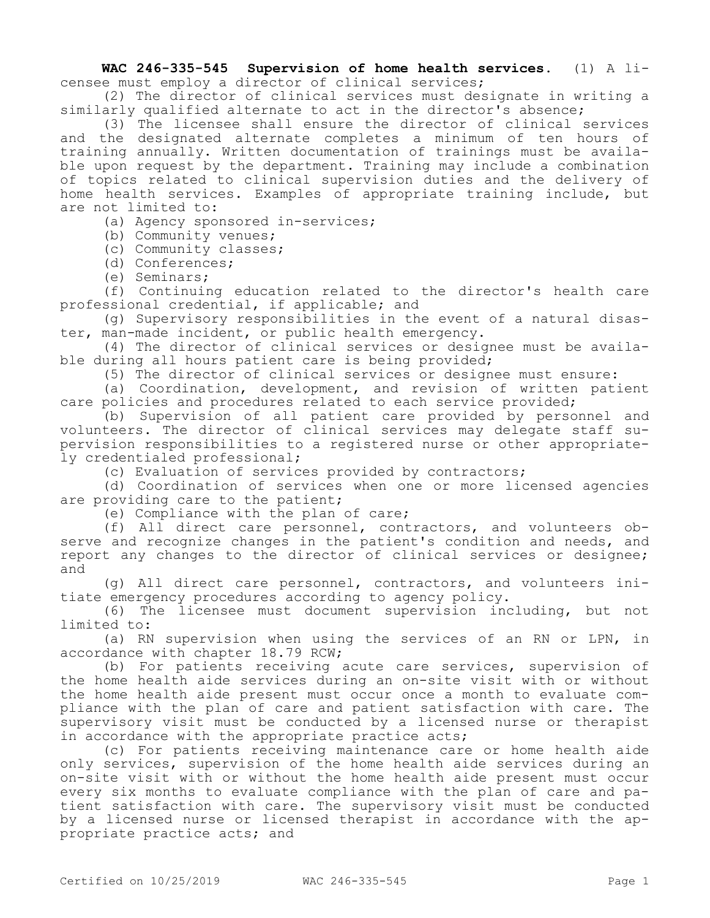**WAC 246-335-545 Supervision of home health services.** (1) A licensee must employ a director of clinical services;

(2) The director of clinical services must designate in writing a similarly qualified alternate to act in the director's absence;

(3) The licensee shall ensure the director of clinical services and the designated alternate completes a minimum of ten hours of training annually. Written documentation of trainings must be available upon request by the department. Training may include a combination of topics related to clinical supervision duties and the delivery of home health services. Examples of appropriate training include, but are not limited to:

(a) Agency sponsored in-services;

(b) Community venues;

(c) Community classes;

(d) Conferences;

(e) Seminars;

(f) Continuing education related to the director's health care professional credential, if applicable; and

(g) Supervisory responsibilities in the event of a natural disaster, man-made incident, or public health emergency.

(4) The director of clinical services or designee must be available during all hours patient care is being provided;

(5) The director of clinical services or designee must ensure:

(a) Coordination, development, and revision of written patient care policies and procedures related to each service provided;

(b) Supervision of all patient care provided by personnel and volunteers. The director of clinical services may delegate staff supervision responsibilities to a registered nurse or other appropriately credentialed professional;

(c) Evaluation of services provided by contractors;

(d) Coordination of services when one or more licensed agencies are providing care to the patient;

(e) Compliance with the plan of care;

(f) All direct care personnel, contractors, and volunteers observe and recognize changes in the patient's condition and needs, and report any changes to the director of clinical services or designee; and

(g) All direct care personnel, contractors, and volunteers initiate emergency procedures according to agency policy.

(6) The licensee must document supervision including, but not limited to:

(a) RN supervision when using the services of an RN or LPN, in accordance with chapter 18.79 RCW;

(b) For patients receiving acute care services, supervision of the home health aide services during an on-site visit with or without the home health aide present must occur once a month to evaluate compliance with the plan of care and patient satisfaction with care. The supervisory visit must be conducted by a licensed nurse or therapist in accordance with the appropriate practice acts;

(c) For patients receiving maintenance care or home health aide only services, supervision of the home health aide services during an on-site visit with or without the home health aide present must occur every six months to evaluate compliance with the plan of care and patient satisfaction with care. The supervisory visit must be conducted by a licensed nurse or licensed therapist in accordance with the appropriate practice acts; and